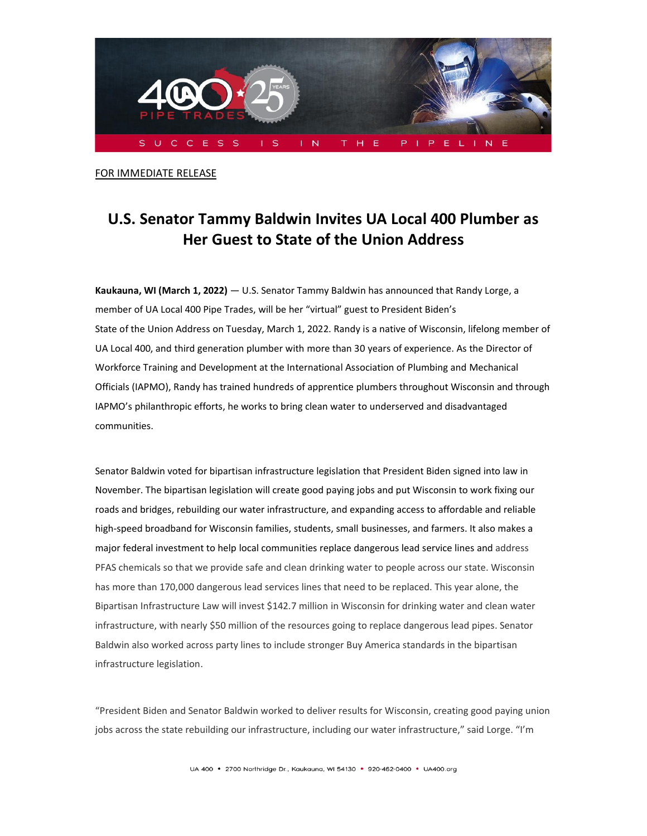

FOR IMMEDIATE RELEASE

## **U.S. Senator Tammy Baldwin Invites UA Local 400 Plumber as Her Guest to State of the Union Address**

**Kaukauna, WI (March 1, 2022)** — U.S. Senator Tammy Baldwin has announced that Randy Lorge, a member of UA Local 400 Pipe Trades, will be her "virtual" guest to President Biden's State of the Union Address on Tuesday, March 1, 2022. Randy is a native of Wisconsin, lifelong member of UA Local 400, and third generation plumber with more than 30 years of experience. As the Director of Workforce Training and Development at the International Association of Plumbing and Mechanical Officials (IAPMO), Randy has trained hundreds of apprentice plumbers throughout Wisconsin and through IAPMO's philanthropic efforts, he works to bring clean water to underserved and disadvantaged communities.

Senator Baldwin voted for bipartisan infrastructure legislation that President Biden signed into law in November. The bipartisan legislation will create good paying jobs and put Wisconsin to work fixing our roads and bridges, rebuilding our water infrastructure, and expanding access to affordable and reliable high-speed broadband for Wisconsin families, students, small businesses, and farmers. It also makes a major federal investment to help local communities replace dangerous lead service lines and address PFAS chemicals so that we provide safe and clean drinking water to people across our state. Wisconsin has more than 170,000 dangerous lead services lines that need to be replaced. This year alone, the Bipartisan Infrastructure Law will invest \$142.7 million in Wisconsin for drinking water and clean water infrastructure, with nearly \$50 million of the resources going to replace dangerous lead pipes. Senator Baldwin also worked across party lines to include stronger Buy America standards in the bipartisan infrastructure legislation.

"President Biden and Senator Baldwin worked to deliver results for Wisconsin, creating good paying union jobs across the state rebuilding our infrastructure, including our water infrastructure," said Lorge. "I'm

UA 400 · 2700 Northridge Dr., Kaukauna, WI 54130 · 920-462-0400 · UA400.org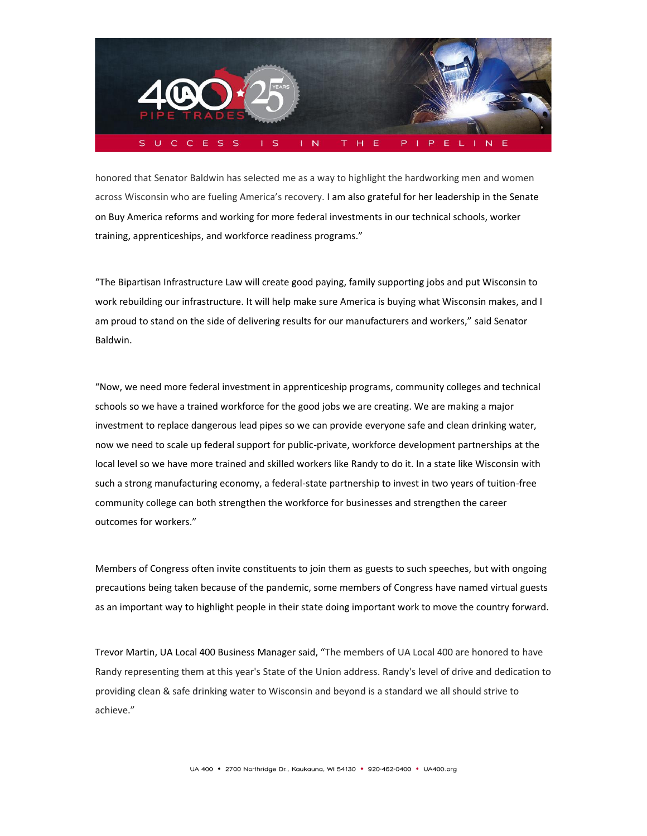

honored that Senator Baldwin has selected me as a way to highlight the hardworking men and women across Wisconsin who are fueling America's recovery. I am also grateful for her leadership in the Senate on Buy America reforms and working for more federal investments in our technical schools, worker training, apprenticeships, and workforce readiness programs."

"The Bipartisan Infrastructure Law will create good paying, family supporting jobs and put Wisconsin to work rebuilding our infrastructure. It will help make sure America is buying what Wisconsin makes, and I am proud to stand on the side of delivering results for our manufacturers and workers," said Senator Baldwin.

"Now, we need more federal investment in apprenticeship programs, community colleges and technical schools so we have a trained workforce for the good jobs we are creating. We are making a major investment to replace dangerous lead pipes so we can provide everyone safe and clean drinking water, now we need to scale up federal support for public-private, workforce development partnerships at the local level so we have more trained and skilled workers like Randy to do it. In a state like Wisconsin with such a strong manufacturing economy, a federal-state partnership to invest in two years of tuition-free community college can both strengthen the workforce for businesses and strengthen the career outcomes for workers."

Members of Congress often invite constituents to join them as guests to such speeches, but with ongoing precautions being taken because of the pandemic, some members of Congress have named virtual guests as an important way to highlight people in their state doing important work to move the country forward.

Trevor Martin, UA Local 400 Business Manager said, "The members of UA Local 400 are honored to have Randy representing them at this year's State of the Union address. Randy's level of drive and dedication to providing clean & safe drinking water to Wisconsin and beyond is a standard we all should strive to achieve."